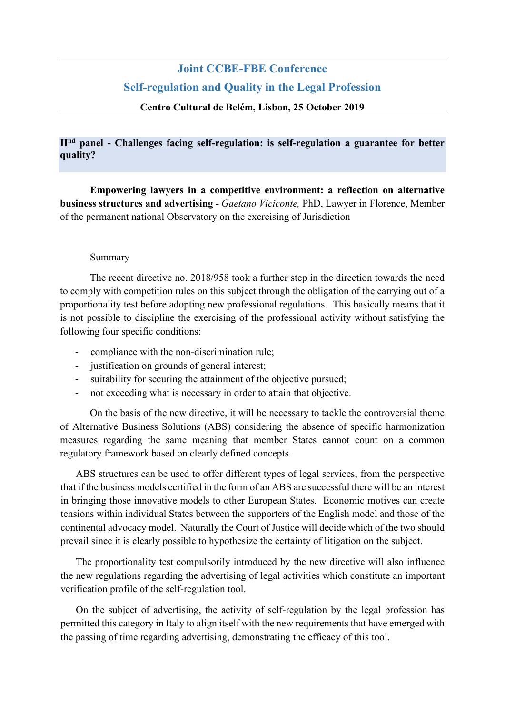## **Joint CCBE-FBE Conference Self-regulation and Quality in the Legal Profession**

## **Centro Cultural de Belém, Lisbon, 25 October 2019**

## **IInd panel - Challenges facing self-regulation: is self-regulation a guarantee for better quality?**

**Empowering lawyers in a competitive environment: a reflection on alternative business structures and advertising -** *Gaetano Viciconte,* PhD, Lawyer in Florence, Member of the permanent national Observatory on the exercising of Jurisdiction

## Summary

The recent directive no. 2018/958 took a further step in the direction towards the need to comply with competition rules on this subject through the obligation of the carrying out of a proportionality test before adopting new professional regulations. This basically means that it is not possible to discipline the exercising of the professional activity without satisfying the following four specific conditions:

- compliance with the non-discrimination rule;
- justification on grounds of general interest;
- suitability for securing the attainment of the objective pursued;
- not exceeding what is necessary in order to attain that objective.

On the basis of the new directive, it will be necessary to tackle the controversial theme of Alternative Business Solutions (ABS) considering the absence of specific harmonization measures regarding the same meaning that member States cannot count on a common regulatory framework based on clearly defined concepts.

ABS structures can be used to offer different types of legal services, from the perspective that if the business models certified in the form of an ABS are successful there will be an interest in bringing those innovative models to other European States. Economic motives can create tensions within individual States between the supporters of the English model and those of the continental advocacy model. Naturally the Court of Justice will decide which of the two should prevail since it is clearly possible to hypothesize the certainty of litigation on the subject.

The proportionality test compulsorily introduced by the new directive will also influence the new regulations regarding the advertising of legal activities which constitute an important verification profile of the self-regulation tool.

On the subject of advertising, the activity of self-regulation by the legal profession has permitted this category in Italy to align itself with the new requirements that have emerged with the passing of time regarding advertising, demonstrating the efficacy of this tool.